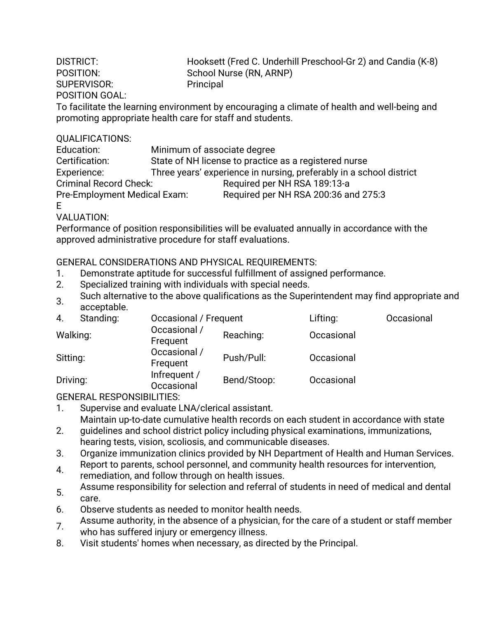SUPERVISOR: Principal POSITION GOAL:

DISTRICT: Hooksett (Fred C. Underhill Preschool-Gr 2) and Candia (K-8) POSITION: School Nurse (RN, ARNP)

To facilitate the learning environment by encouraging a climate of health and well-being and promoting appropriate health care for staff and students.

## QUALIFICATIONS:

| Education:                    | Minimum of associate degree                                         |  |  |  |  |
|-------------------------------|---------------------------------------------------------------------|--|--|--|--|
| Certification:                | State of NH license to practice as a registered nurse               |  |  |  |  |
| Experience:                   | Three years' experience in nursing, preferably in a school district |  |  |  |  |
| <b>Criminal Record Check:</b> | Required per NH RSA 189:13-a                                        |  |  |  |  |
| Pre-Employment Medical Exam:  | Required per NH RSA 200:36 and 275:3                                |  |  |  |  |
| E                             |                                                                     |  |  |  |  |

VALUATION:

Performance of position responsibilities will be evaluated annually in accordance with the approved administrative procedure for staff evaluations.

GENERAL CONSIDERATIONS AND PHYSICAL REQUIREMENTS:

- 1. Demonstrate aptitude for successful fulfillment of assigned performance.
- 2. Specialized training with individuals with special needs.
- 3. Such alternative to the above qualifications as the Superintendent may find appropriate and acceptable.

| 4.       | Standing: | Occasional / Frequent      |             | Lifting:   | Occasional |
|----------|-----------|----------------------------|-------------|------------|------------|
| Walking: |           | Occasional /<br>Frequent   | Reaching:   | Occasional |            |
| Sitting: |           | Occasional /<br>Frequent   | Push/Pull:  | Occasional |            |
| Driving: |           | Infrequent /<br>Occasional | Bend/Stoop: | Occasional |            |

GENERAL RESPONSIBILITIES:

- 1. Supervise and evaluate LNA/clerical assistant. Maintain up-to-date cumulative health records on each student in accordance with state
- 2. guidelines and school district policy including physical examinations, immunizations, hearing tests, vision, scoliosis, and communicable diseases.
- 3. Organize immunization clinics provided by NH Department of Health and Human Services.
- 4. Report to parents, school personnel, and community health resources for intervention, remediation, and follow through on health issues.
- 5. Assume responsibility for selection and referral of students in need of medical and dental care.
- 6. Observe students as needed to monitor health needs.
- 7. Assume authority, in the absence of a physician, for the care of a student or staff member who has suffered injury or emergency illness.
- 8. Visit students' homes when necessary, as directed by the Principal.